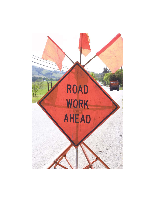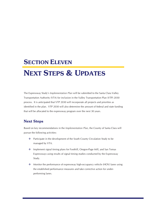## **SECTION ELEVEN** NEXT STEPS & UPDATES

The Expressway Study's *Implementation Plan* will be submitted to the Santa Clara Valley Transportation Authority (VTA) for inclusion in the Valley Transportation Plan (VTP) 2030 process. It is anticipated that VTP 2030 will incorporate all projects and priorities as identified in the plan. VTP 2030 will also determine the amount of federal and state funding that will be allocated to the expressway program over the next 30 years.

## Next Steps

Based on key recommendations in the *Implementation Plan,* the County of Santa Clara will pursue the following activities:

- ◆ Participate in the development of the South County Circulation Study to be managed by VTA.
- ◆ Implement signal timing plans for Foothill, Oregon-Page Mill, and San Tomas Expressways using results of signal timing studies conducted by the Expressway Study.
- Monitor the performance of expressway high-occupancy vehicle (HOV) lanes using the established performance measures and take corrective action for underperforming lanes.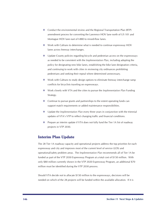- Conduct the environmental review and the Regional Transportation Plan (RTP) amendment process for converting the Lawrence HOV lane north of US 101 and Montague HOV lane east of I-880 to mixed-flow lanes.  $\mathcal{L}_{\mathcal{C}}$
- $\frac{1}{2}$ Work with Caltrans to determine what is needed to continue expressway HOV lanes across freeway interchanges.
- Update County policies regarding bicycle and pedestrian access on the expressways as needed to be consistent with the *Implementation Plan*, including adopting the policy for designating new bike lanes, establishing the bike lane designation criteria, and continuing to work with cities in reviewing city ordinances prohibiting pedestrians and seeking their repeal where determined unnecessary.
- $\triangle$  Work with Caltrans to study design options to eliminate freeway interchange ramp conflicts for bicyclists traveling on expressways.
- Work closely with VTA and the cities to pursue the *Implementation Plan* Funding Strategy.
- $\cdot$  Continue to pursue grants and partnerships to the extent operating funds can support match requirements or added maintenance responsibilities.
- Update the *Implementation Plan* every three years in conjunction with the triennial updates of VTA's VTP to reflect changing traffic and financial conditions.
- ◆ Prepare an interim update if VTA does not fully fund the Tier 1A list of roadway projects in VTP 2030.

## Interim Plan Update

The 28 Tier 1A roadway capacity and operational projects address the top priorities for each expressway and city and improves most of the current level of service (LOS) and operational/safety problem areas. The *Implementation Plan* recommends all of Tier 1A be funded as part of the VTP 2030 Expressway Program at a total cost of \$150 million. With only \$80 million currently shown in the VTP 2020 Expressway Program, an additional \$70 million must be identified during the VTP 2030 process.

Should VTA decide not to allocate \$150 million to the expressways, decisions will be needed on which of the 28 projects will be funded within the available allocation. If it is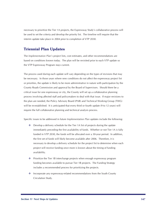necessary to prioritize the Tier 1A projects, the Expressway Study's collaborative process will be used to set the criteria and develop the priority list. The timeline will require that the interim update take place in 2004 prior to completion of VTP 2030.

## Triennial Plan Updates

The *Implementation Plan's* project lists, cost estimates, and other recommendations are based on conditions known today. The plan will be revisited prior to each VTP update so the VTP Expressway Program stays current.

The process used during each update will vary depending on the types of revisions that may be necessary. In those years where new conditions do not affect the expressway project list or priorities, the update is likely to be more administrative in nature with participation by the County Roads Commission and approval by the Board of Supervisors. Should there be a critical issue for one expressway or city, the County will set up a collaborative planning process involving affected staff and policymakers to deal with that issue. If major revisions to the plan are needed, the Policy Advisory Board (PAB) and Technical Working Group (TWG) will be re-established. It is anticipated that every third or fourth update (9 to 12 years) will require the full collaborative planning and technical analysis process.

Specific issues to be addressed in future *Implementation Plan* updates include the following:

- $\bullet$  Develop a delivery schedule for the Tier 1A list of projects during the update immediately preceding the first availability of funds. Whether or not Tier 1A is fully funded in VTP 2030, the funds will be allocated over a 30-year period. In addition, the first set of funds will likely become available after 2006. Therefore, it is necessary to develop a delivery schedule for the project list to determine when each project will receive funding once more is known about the timing of funding availability.
- ◆ Prioritize the Tier 1B interchange projects when enough expressway program funding becomes available to pursue Tier 1B projects. The Funding Strategy includes a recommended process for prioritizing the projects.
- Incorporate any expressway-related recommendations from the South County Circulation Study*.*